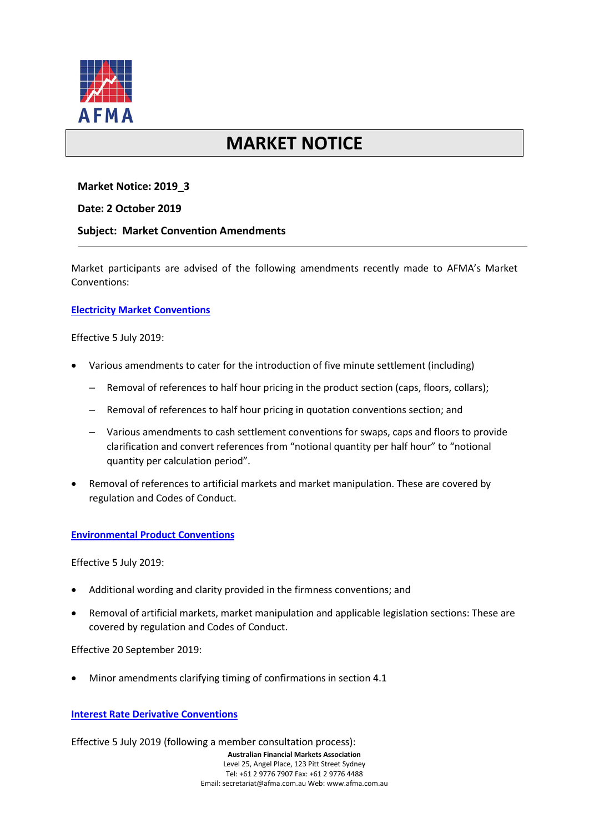

# **MARKET NOTICE**

## **Market Notice: 2019\_3**

#### **Date: 2 October 2019**

#### **Subject: Market Convention Amendments**

Market participants are advised of the following amendments recently made to AFMA's Market Conventions:

#### **[Electricity Market Conventions](https://afma.com.au/standards/market-conventions/Electricity%20Market%20Conventions.pdf)**

Effective 5 July 2019:

- Various amendments to cater for the introduction of five minute settlement (including)
	- Removal of references to half hour pricing in the product section (caps, floors, collars);
	- Removal of references to half hour pricing in quotation conventions section; and
	- Various amendments to cash settlement conventions for swaps, caps and floors to provide clarification and convert references from "notional quantity per half hour" to "notional quantity per calculation period".
- Removal of references to artificial markets and market manipulation. These are covered by regulation and Codes of Conduct.

#### **[Environmental Product Conventions](https://afma.com.au/standards/market-conventions/Environmental%20Product%20Conventions.pdf)**

Effective 5 July 2019:

- Additional wording and clarity provided in the firmness conventions; and
- Removal of artificial markets, market manipulation and applicable legislation sections: These are covered by regulation and Codes of Conduct.

Effective 20 September 2019:

• Minor amendments clarifying timing of confirmations in section 4.1

## **[Interest Rate Derivative Conventions](https://afma.com.au/standards/market-conventions/Interest%20Rate%20Derivative%20Conventions.pdf)**

Effective 5 July 2019 (following a member consultation process):

**Australian Financial Markets Association** Level 25, Angel Place, 123 Pitt Street Sydney Tel: +61 2 9776 7907 Fax: +61 2 9776 4488 Email: secretariat@afma.com.au Web: www.afma.com.au